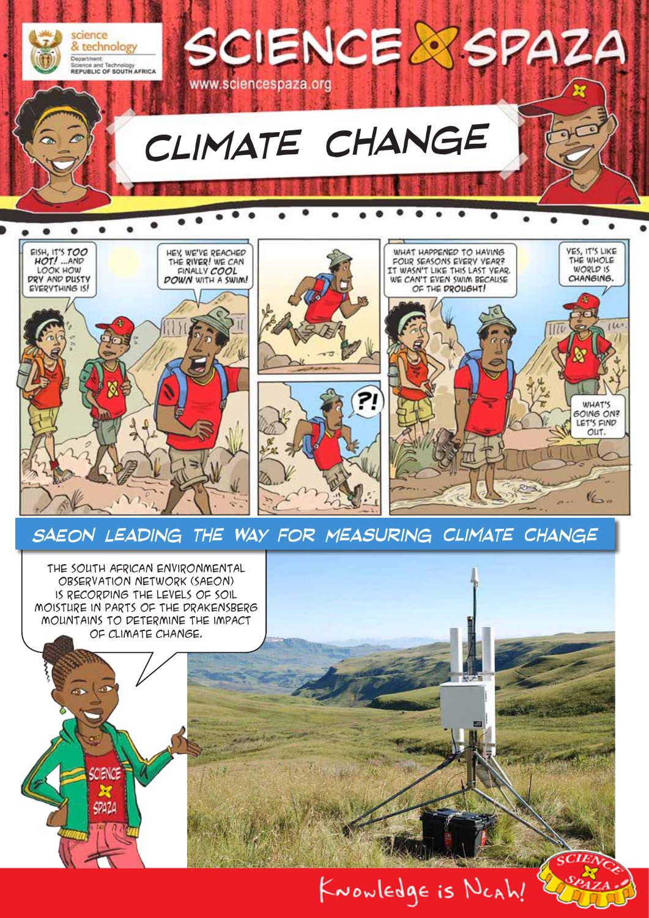

## *SAEON Leading the Way for Measuring Climate Change*

 $V_{\leq m}$ 

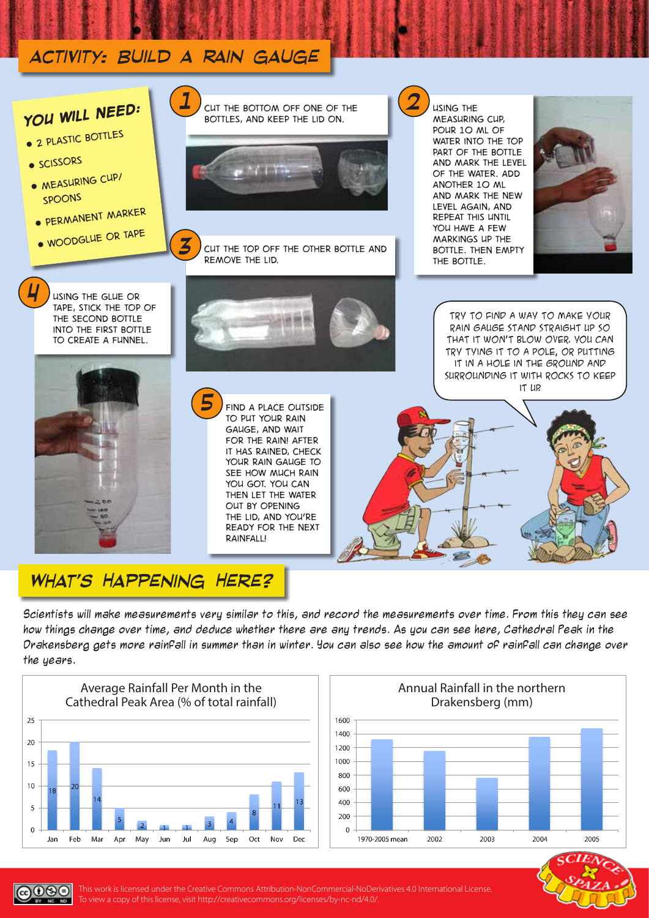

## *What's Happening Here?*

Scientists will make measurements very similar to this, and record the measurements over time. From this they can see how things change over time, and deduce whether there are any trends. As you can see here, Cathedral Peak in the Drakensberg gets more rainfall in summer than in winter. You can also see how the amount of rainfall can change over the years.



 $0$ 90





This work is licensed under the Creative Commons Attribution-NonCommercial-NoDerivatives 4.0 International License. To view a copy of this license, visit http://creativecommons.org/licenses/by-nc-nd/4.0/.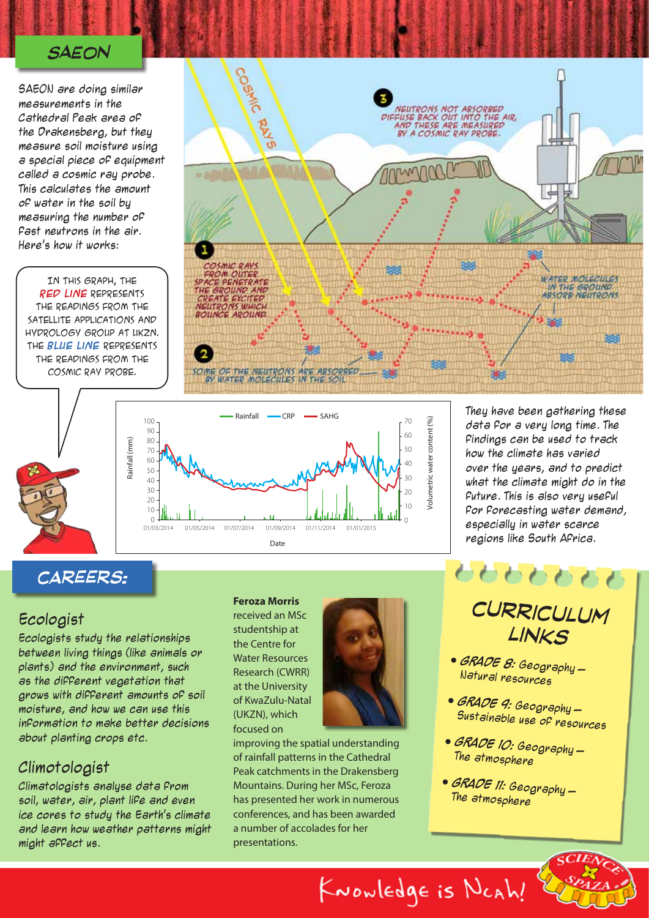#### *SAEON*

SAEON are doing similar measurements in the Cathedral Peak area of the Drakensberg, but they measure soil moisture using a special piece of equipment called a cosmic ray probe. This calculates the amount of water in the soil by measuring the number of fast neutrons in the air. Here's how it works:

In this graph, the **red line** represents the readings from the satellite Applications and Hydrology Group at UKZN. The **Blue line** represents the readings from the COSMIC RAY PROBE.



Volumetric water content (%)

KNOWLEDgE is NCAh!

/olumetric water content (%)



They have been gathering these data for a very long time. The findings can be used to track how the climate has varied over the years, and to predict what the climate might do in the future. This is also very useful for forecasting water demand, especially in water scarce regions like South Africa.

### *careers:*

#### Ecologist

Ecologists study the relationships between living things (like animals or plants) and the environment, such as the different vegetation that grows with different amounts of soil moisture, and how we can use this information to make better decisions about planting crops etc.

#### Climotologist

Climatologists analyse data from soil, water, air, plant life and even ice cores to study the Earth's climate and learn how weather patterns might might affect us.

#### **Feroza Morris**

received an MSc studentship at the Centre for Water Resources Research (CWRR) at the University of KwaZulu-Natal (UKZN), which focused on



improving the spatial understanding of rainfall patterns in the Cathedral Peak catchments in the Drakensberg Mountains. During her MSc, Feroza has presented her work in numerous conferences, and has been awarded a number of accolades for her presentations.

# *curriculum links*

ももももももも

- **GRADE 8:** Geography Natural resources
- **GRADE 9:** Geography Sustainable use of resources

 $\zeta C I E \wedge$ 

- **GRADE 10:** Geography The atmosphere
- **GRADE 11:** Geography The atmosphere